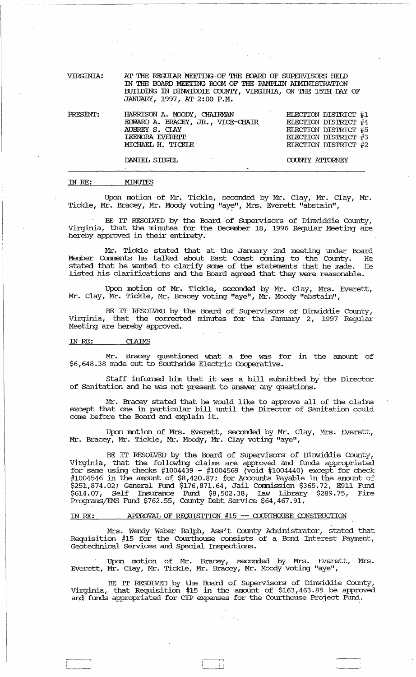VIRGINIA: AT THE REGUIAR MEETING OF THE BOARD OF SUPERVISORS HEID IN THE OOARD MEEl'ING ROC»I OF THE PAMPLIN ALMINISTRATION BUIIDING IN DINWIDDIE COUNTY, VIRGINIA, ON THE 15TH DAY OF JANUARY, 1997, AT 2:00 P.M.

| PRESENT: | HARRISON A. MOODY, CHAIRMAN       | ELECTION DISTRICT #1 |
|----------|-----------------------------------|----------------------|
|          | EDWARD A. BRACEY, JR., VICE-CHAIR | ELECTION DISTRICT #4 |
|          | AUBREY S. CLAY                    | ELECTION DISTRICT #5 |
|          | <b>LEENORA EVERETT</b>            | ELECTION DISTRICT #3 |
|          | MICHAEL H. TICKLE                 | ELECTION DISTRICT #2 |
|          |                                   |                      |
|          | DANIEL STEGEL                     | COUNTY ATTORNEY      |

#### **MINUTES** IN RE:

Upon motion of Mr. Tickle, seconded by Mr. Clay, Mr. Clay, Mr. Tickle, Mr. Bracey, Mr. Moody voting "aye", Mrs. Everett "abstain",

BE IT RESOLVED by the Board of Supervisors of Dinwiddie County, Virginia, that the minutes for the December 18, 1996 Regular Meeting are hereby approved in their entirety.

Mr. Tickle stated that at the January 2nd meeting under Board Member Comments he talked about East Coast coming to the County. He stated that he wanted to clarify some of the statements that he made. He listed his clarifications and the Board agreed that they were reasonable.

Upon motion of Mr. Tickle, seconded by Mr. Clay, Mrs. Everett, Mr. Clay, Mr. Tickle, Mr. Bracey voting "aye", Mr. Moody "abstain",

BE IT RESOLVED by the Board of Supervisors of Dinwiddie County, Virginia, that the corrected minutes for the January 2, 1997 Regular Meeting are hereby approved.

#### CLAIMS IN RE:

Mr. Bracey questioned what a fee was for in the amount of \$6,648.38 made out to Southside Electric Cooperative.

Staff informed him that it was a bill submitted by the Director of sanitation and he was not present to answer any questions.

Mr. Bracey stated that he would like to approve all of the claims except that one in particular bill until the Director of sanitation could come before the Board and explain it.

Upon motion of Mrs. Everett, seconded by Mr. Clay, Mrs. Everett, Mr. Bracey, Mr. Tickle, Mr. Moody, Mr. Clay voting "aye",

BE IT RESOLVED by the Board of supervisors of Dinwiddie County, Virginia, that the following claims are approved and funds appropriated for same using checks  $#1004439 - #1004569$  (void  $#1004440$ ) except for check #1004546 in the amount of \$8,420.87: for Accounts Payable in the amount of . \$251,874.02; General Fund \$176,871.64, Jail Commission \$365.72, E911 Fund \$614.07, Self Insurance Fund \$8,502.38, Law Library \$289.75, Fire Programs/EMS Fund \$762.55, County Debt service \$64,467.9L

## IN RE: APPROVAL OF REQUISITION #15 -- COURTHOUSE CONSTRUCTION

Mrs. Wendy Weber Ralph, Ass't County Administrator, stated that Requisition #15 for the Courthouse consists of a Bond Interest Payment, Geotechnical services and Special Inspections.

Upon motion of Mr. Bracey, seconded by Mrs. Everett, Mrs. Everett, Mr. Clay, Mr. Tickle, Mr. Bracey, Mr. Moody voting "aye",

BE IT RESOLVED by the Board of Supervisors of Dinwiddie County, Virginia, that Requisition #15 in the amount of \$163,463.85 be approved and funds appropriated for CIP expenses for the Courthouse Project Fund.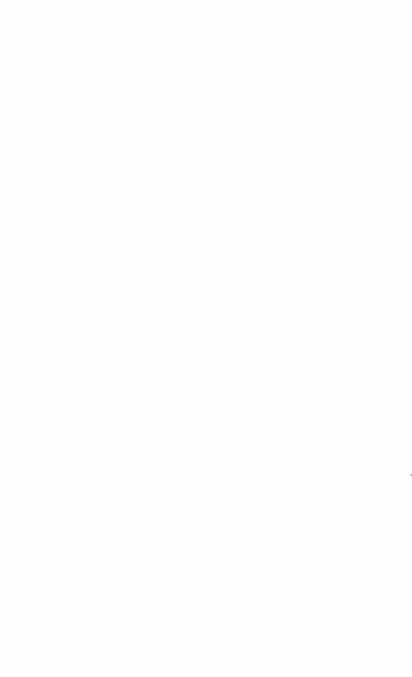$\mathcal{L}^{\text{max}}_{\text{max}}$  and  $\mathcal{L}^{\text{max}}_{\text{max}}$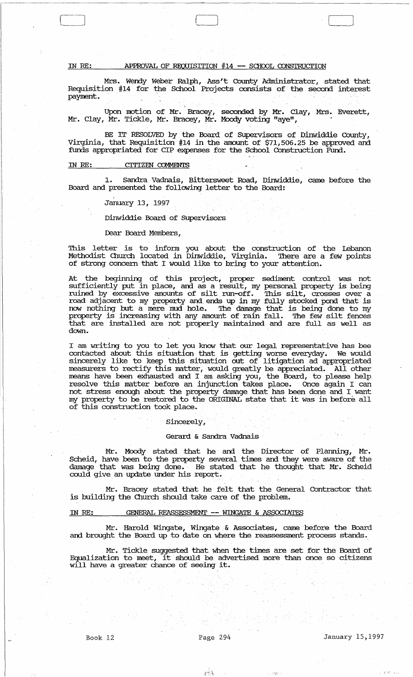IN RE: APPROVAL OF REQUISITION #14 -- SCHOOL CONSTRUCTION

Mrs. Wendy Weber Ralph, Ass't County Administrator, stated that Requisition #14 for the School Projects consists of the second interest payment. .

Upon motion of Mr. Bracey, seconded by Mr. Clay, Mrs. Everett, Mr. Clay, Mr. Tickle, Mr. Bracey, Mr. Moody voting "aye",  $\overline{\phantom{a}}$ 

BE IT RESOLVED by the Board of SUpervisors of Dinwiddie County, Virginia, that Requisition #14 in the amount of \$71,506.25 be approved and funds appropriated for CIP expenses for the School Construction Fund.

## IN RE: CITIZEN COMMENTS

,.

 $\bigl($ 

1. Sandra Vadnais, Bittersweet Road, Dinwiddie, came before the Board and presented the following letter to the Board:

## January 13, 1997

## Dinwiddie Board of Supervisors

#### Dear Board Members,

This letter is to inform you about the construction of the Lebanon Methodist Church located in Dinwiddie, Virginia. There are a few points of strong concern that I would like to bring to your attention.

At the beginning of this project, proper sediment control was not sufficiently put in place, and as a result, my personal property is being ruined by excessive amounts of silt run-off. This silt, crosses over a ranks by discussive distance of site ran off. This site, crosses over a now nothing but a mere mud hole. The damage that is being done to my property is increasing with any amount of rain fall. The few silt fences that are installed are not properly maintained and are full as well as  $d<sub>cm</sub>$ .

I am writing to you to let you know that our legal representative has bee contacted about this situation that is getting worse everyday. We would sincerely like to keep this situation out of litigation ad appropriated measurers to rectify this matter, would greatly be appreciated. All other means have been exhausted and I am asking you, the Board, to please help resolve this matter before an injunction takes place. Once again I can not stress enough about the property damage that has been done and I want my property to be restored to the ORIGINAL state that it was in before all of this construction took place.

## Sincerely,

## Gerard & Sandra Vadnais

Mr. Moody stated that he and the Director of Planning, Mr. Scheid, have been to the property several times and they were aware of the damage that was being done. He stated that he thought that Mr. Scheid could give, an update under his report.

Mr. Bracey stated that he felt that the General Contractor that is building the Church should take care of the problem.

## IN RE: GENERAL REASSESSMENT -- WINGATE & ASSOCIATES

Mr. Harold Wingate, Wingate & Associates, came before the Board and brought the Board up to date on where the reassessment process stands.,

Mr. Tickle suggested that when the times are set for the Board of Equalization to meet, it should be advertised more than once so citizens will have a greater chance of seeing it.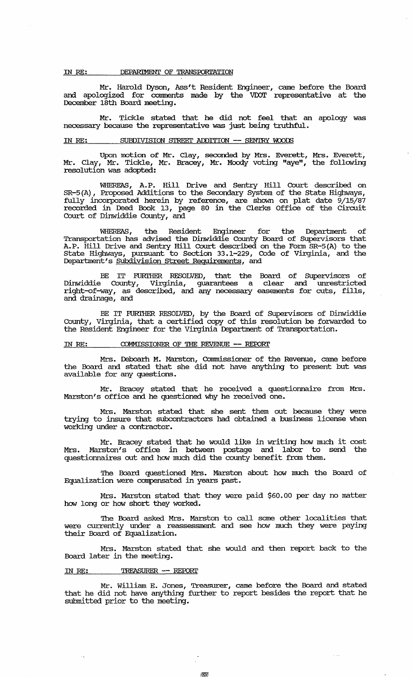## IN RE: DEPARIMENT OF TRANSPORTATION

Mr. Harold Dyson, Ass't Resident Engineer, came before the Board and apologized for comments made by the VDOT representative at the December 18th Board meeting.

Mr. Tickle stated that he did not feel that an apology was necessary because the representative was just being truthful.

## IN RE: SUBDIVISION STREET ADDITION -- SENTRY WOODS

Upon motion of Mr. Clay, seconded by Mrs. Everett, Mrs. Everett, Mr. Clay, Mr. Tickle, Mr. Bracey, Mr. Moody voting "aye", the following resolution was adopted:

WHEREAS, A.P. Hill Drive and Sentry Hill Court described on SR-5(A), Proposed Additions to the Secondary System of the state Highways, fully incorporated herein by reference, are shown on plat date 9/15/87 recorded in Deed Book 13, page 80 in the Clerks Office of the circuit Court of Dinwiddie County, and

WHEREAS, the Resident Engineer for the Department of Transportation has advised the Dinwiddie County Board of Supervisors that A.P. Hill Drive and Sentry Hill Court described on the Form SR-5(A) to the state Highways, pursuant to Section 33.1-229, Code of Virginia, and the Department's Subdivision Street Requirements, and

BE IT FURTHER RESOLVED, that the Dinwiddie County, Virginia, guarantees a right-of-way, as described, and any necessary and drainage, and Board of SUpervisors of clear and unrestricted easements for cuts, fills,

BE IT FURTHER RESOLVED, by the Board of Supervisors of Dinwiddie County, Virginia, that a certified copy of this resolution be forwarded to the Resident Engineer for the Virginia Department of Transportation.

## IN RE: **COMMISSIONER OF THE REVENUE -- REPORT**

Mrs. Deboarh M. Marston, Commissioner of the Revenue, came before the Board and stated that she did not have anything to present but was available for any questions.

Mr. Bracey stated that he received a questionnaire from Mrs. Marston's office and he questioned why he received one.

Mrs. Marston stated that she sent them out because they were trying to insure that subcontractors had obtained a business license when working under a contractor.

Mr. Bracey stated that he would like in writing how much it cost Mrs. Marston's office in between postage and labor to send the questionnaires out and how much did the county benefit from them.

The Board questioned Mrs. Marston about how much the Board of Equalization were compensated in years past.

Mrs. Marston stated that they were paid \$60.00 per day no matter how long or how short they worked.

The Board asked Mrs. Marston to call some other localities that were currently under a reassessment and see how much they were paying their Board of Equalization.

Mrs. Marston stated that she would and then report back to the Board later in the meeting.

### IN RE: TREASURER -- REPORT

Mr. William E. Jones, Treasurer, came before the Board and stated that he did not have anything further to report besides the report that he submitted prior to the meeting.

 $\mathbb{Z}^2$  , and

:~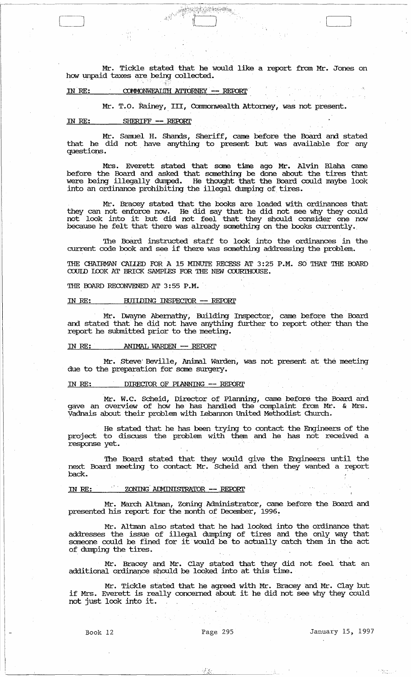Mr. Tickle stated that he would like a report from Mr. Jones on how unpaid taxes are being collected.

Alexandria (1989)

## IN RE: COMMONWEAUIH ATTORNEY -- REPORT

 $\left\|A\right\|^{2\sqrt{2}}$ 

Mr. T.O. Rainey, III, Commonwealth Attorney, was not present.

#### IN *RE:* SHERIFF **-- REroRI'**

(-

Mr. Samuel H. Shands, Sheriff, came before the Board and stated that he did not have anything to present but was available for any questions.

Mrs. Everett stated that some time ago Mr. Alvin Blaha came before the Board and asked that something be done about the tires that were being illegally dumped. He thought that the Board could maybe look into an ordinance prohibiting the illegal dumping of tires.

Mr. Bracey stated that the books are loaded with ordinances that they can not enforce now. He did say that he did not see why they could not look into it but did not feel that they should consider one now because he felt that there was already something on the books currently.,

The Board instructed staff to look into the ordinances in the current code book and see if there was something addressing the problem.

THE CHAIRMAN 'CAllED FOR A 15 MINUTE RECESS AT 3: 25 P.M. SO THAT THE OOARD COUID lOOK AT BRICK SAMPIES FOR THE NEW CDURIHOUSE.

THE BOARD RECONVENED AT 3:55 P.M.

### IN RE: BUIIDING INSPECIOR **-- REroRI'**

Mr. Dwayne Abernathy, Building Inspector, came before the Board and stated that he did not have anything further to report other than the report he submitted prior to the meeting.

## IN RE: ANIMAL WARDEN **-- REroRI'**

Mr. Steve Beville, Animal Warden, was not present at the meeting due to the preparation for some surgery.

## IN RE: DIRECTOR OF PIANNING -- REPORT

Mr. W.C. Scheid, Director of Planning, came before the Board and gave an overview of how he has handled the complaint from Mr. & Mrs. Vadnais about their problem with Lebannon United Methodist Church.

He stated that he has been trying to contact the Eng'ineers of the project to discuss the problem with them and he has not received a response yet.

The Board stated that they would give the Eng'ineers until the next Board meeting to contact Mr. Scheid and then they wanted a report back.

# IN RE: ZONING ADMINISTRATOR -- REPORT

Mr. March Altman, Zoning Administrator, came before the Board and presented his report for the month of December, 1996.

Mr. Altman also stated that he had looked into the ordinance that addresses the issue of illegal dumping of tires and the only way that someone could be fined for it would be to actually catch them in the act of dumping the tires.

Mr. Bracey and Mr. Clay stated that they did not feel that an additional ordinance should be looked into at this time.

Mr. Tickle stated that he agreed with Mr. Bracey and Mr. Clay but if Mrs. Everett is really concerned about it he did not see why they could not just look into it.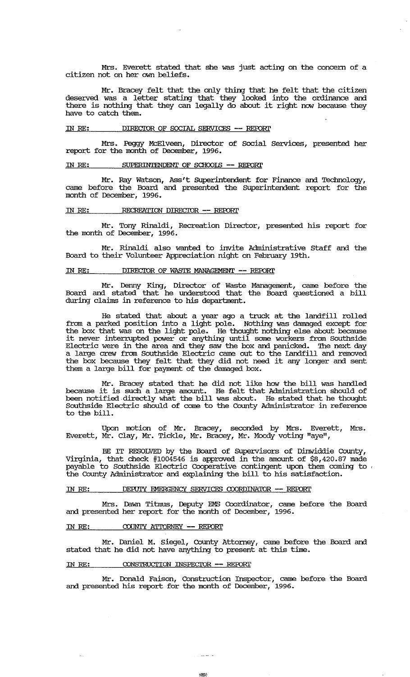Mrs. Everett stated that she was just acting on the concern of a citizen not on her own beliefs.

Mr. Bracey felt that the only thing that he felt that the citizen deserved was a letter stating that they looked into the ordinance and<br>there is nothing that they can legally do about it right now because they have to catch them.

## IN RE: DIRECTOR OF SOCIAL SERVICES -- REPORT

Mrs. Peggy McElveen, Director of Social Services, presented her report for the month of December, 1996.

## IN RE: SUPERINTENDENT OF SCHOOLS -- REPORT

Mr. Ray Watson, Ass't SUperintendent for Finance and Technology, came before the Board and presented the Superintendent report for the month of December, 1996.

## IN *RE:* RECREATION DIRECIOR -- REroRI'

Mr. Tony Rinaldi, Recreation Director, presented his report for the month of December, 1996.

Mr. Rinaldi also wanted to invite Administrative Staff and the Board to their Volunteer Appreciation night on February 19th.

## IN RE: DIRECTOR OF WASTE MANAGEMENT -- REPORT

Mr. Denny King, Director of Waste Management, came before the Board and stated that he understood that the Board questioned a bill during claims in reference to his department.

He stated that about a year ago a truck at the landfill rolled from a parked position into a light pole. Nothing was damaged except for the box that was on the light pole. He thought nothing else about because the box that was on the light pole. He thought hothing eise about because<br>it never interrupted power or anything until some workers from Southside Electric were in the area and they saw the box and panicked. The next day a large crew from Southside Electric came out to the Landfill and removed a large crew from southside Electric came out to the familiar and removed<br>the box because they felt that they did not need it any longer and sent them a large bill for payment of the damaged box.

Mr. Bracey stated that he did not like how the bill was handled Mr. Bracey stated that he did not like how the bill was handled<br>because it is such a large amount. He felt that Administration should of been notified directly what the bill was about. He stated that he thought Southside Electric should of come to the County Administrator in reference to the bill.

Upon motion of Mr. Bracey, seconded by Mrs. Everett, Mrs. Everett, Mr. Clay, Mr. Tickle, Mr. Bracey, Mr. Moody voting "aye",

BE IT RESOLVED by the Board of Supervisors of Dinwiddie County, Virginia, that check #1004546 is approved in the amount of \$8,420.87 made payable to Southside Electric Cooperative contingent upon them coming to the County Administrator and explaining the bill to his satisfaction.

## IN RE: DEPUIY EMERGENCY SERVICES COORDINATOR -- REPORT

Mrs. Dawn Titmus, Deputy EMS Coordinator, came before the Board and presented her report for the month of December, 1996.

# IN RE: COUNTY ATTORNEY -- REPORT

Mr. Daniel M. Siegel, County Attorney, came before the Board and stated that he did not have anything to present at this time.

## IN RE: CONSTRUCTION INSPECIOR -- REPORT

Mr. Donald Faison, Construction Inspector, came before the Board and presented his report for the month of December, 1996.

~~,

 $\bar{z}$  , and  $\bar{z}$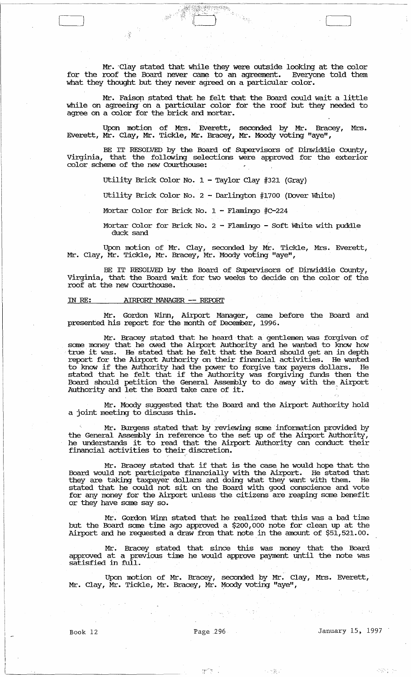Mr. 'Clay stated that while they were outside looking at the color for the roof the Board never came to an agreement. Everyone told them what they thought but they never agreed on a particular color.

 $\mathbb{R}^{\mathbb{Z}}$  ,  $\mathbb{Z}$  ,  $\mathbb{Z}$  ,  $\mathbb{Z}$ 

Mr. Faison stated that he felt that the Board could wait a little while on agreeing" on a particular color for the roof but they needed to agree on a color for the brick and mortar.

Upon motion of Mrs. Everett, seconded by Mr. Bracey, Mrs. Everett, Mr. Clay, Mr. Tickle, Mr. Bracey, Mr. Moody voting "aye",

BE IT RESOLVED by the Board of Supervisors of Dinwiddie County, Virginia, that the following selections were approved for the exterior color scheme of the new Courthouse:

utility Brick COlor No.1 - Taylor Clay #321 (Gray)

utility Brick COlor No.2 - Darlington #1700 (Dover White)

Mortar COlor for Brick No. 1 - Flamingo *#C-224* 

Mortar Color for Brick No.2 - Flamingo - Soft White with puddle duck sand '

Upon motion of Mr. Clay, seconded by Mr. Tickle, Mrs. Everett, Mr. Clay, Mr. Tickle, Mr. Bracey, Mr. Moody voting "aye",

BE IT RESOLVED by the Board of Supervisors of Dinwiddie County, Virginia, that the Board wait for two weeks to decide on the color of the roof at the new COurthouse.

#### IN RE: AIRroRI' MANAGER -- REroRI'

 $\sim$   $\frac{1}{N}$ 

Mr. Gordon Winn, Airport Manager, came before the Board and presented his report for the month of December, 1996.

Mr. Bracey stated that he heard that a gentlemen was forgiven of some money that he owed the Airport Authority and he wanted to know how true it was. He stated that he felt that the Board should get an in depth report for the Airport Authority on their financial activities. He wanted to know if the Authority had the power to forgive tax payers dollars. He stated that he felt that if the Authority was forgiving funds then the Board should petition the General Assembly to do away with the Airport Authority and let the Board take care of it. '

Mr. Moody suggested that the Board and the Airport Authority hold a joint meeting to discuss this.

Mr. Burgess stated that by reviewing some 'infonnation provided by the General Assembly in reference to the set up of the Airport Authority, he understands it to read that the Airport Authority can conduct their financial activities to their discretion.

Mr. Bracey stated that if that is the case he would hope that the Board would not participate financially with the Airport. He stated that they are taking taxpayer dollars and doing what they want with them. He stated that he could not sit on the Board with good conscience and vote for any money for the Airport unless the citizens are reaping some benefit or they have some say so.

Mr. Gordon winn stated that he realized that this was a bad time but the Board some time ago approved a \$200,000 note for clean up at the Airport and he requested a draw from that note in the amount of \$51,521.00.

Mr. Bracey stated that since this was money that the Board approved at a previous time he would approve payment until the note was satisfied in full.

Upon motion of Mr. Bracey, seconded by Mr. Clay, Mrs. Everett, Mr. Clay, Mr. Tickle, Mr. Bracey, Mr. Moody voting "aye",

**小时站** 

Book 12 **Page 296** Page 296 January 15, 1997

..... ,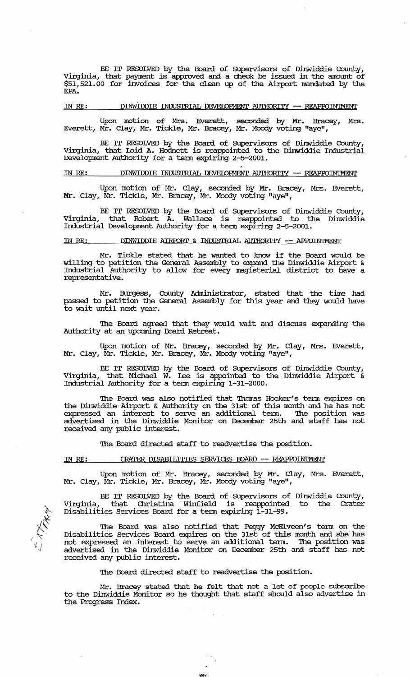BE IT RESOLVED by the Board of SUpervisors of Dinwiddie County, Virginia, that payment is approved and a check be issued in the amount of \$51,521.00 for invoices for the clean up of the Airport mandated by the EPA.

## IN RE: DINWIDDIE INDUSTRIAL DEVELOPMENT AUTHORITY -- REAPPOINIMENT

Upon motion of Mrs. Everett, seconded by Mr. Bracey, Mrs. Everett, Mr. Clay, Mr. Tickle, Mr. Bracey, Mr. Moody voting "aye",

BE IT RESOLVED by the Board of Supervisors of Dinwiddie County, Virginia, that Ioid A. Hodnett is reappointed to the Dinwiddie Industrial Development Authority for a tenn expiring 2-5-2001.

# IN RE: DINWIDDIE INDUSTRIAL DEVELOPMENT AUIHORITY -- REAPPOINTMENT

Upon motion of Mr. Clay, seconded by Mr. Bracey, Mrs. Everett, Mr. Clay, Mr. Tickle, Mr. Bracey, Mr. Moody voting "aye",

BE IT RESOLVED by the Board of Supervisors of Dinwiddie County, Virginia, that Robert A. Wallace is reappointed to the Dinwiddie Industrial Development Authority for a tenn expiring 2-5-2001.

## IN RE: DINWIDDIE AIRPORT & INDUSTRIAL AUTHORITY -- APPOINTMENT

Mr. Tickle stated that he wanted to lmow if the Board would be willing to petition the General Assembly to expand the Dinwiddie Airport & Industrial Authority to allow for every magisterial district to have a representative.

Mr. Burgess, County Administrator, stated that the time had passed to petition the General Assembly for this year and they would have to wait until next year.

'Ihe Board agreed that they would wait and discuss expanding the Authority at an upcoming Board Retreat.

Upon motion of Mr. Bracey, seconded by Mr. Clay, Mrs. Everett, Mr. Clay, Mr. Tickle, Mr. Bracey, Mr. Moody voting "aye",

BE IT RESOLVED by the Board of Supervisors of Dinwiddie County, Virginia, that Michael W. Lee is appointed to the Dinwiddie Airport  $\&$ Industrial Authority for a tenn expiring 1-31-2000.

'Ihe Board was also notified that 'Ihornas Hooker's tenn expires on the Dinwiddie Airport & Authority on the 31st of this month and he has not expressed an interest to serve an additional term. The position was advertised in the Dinwiddie Monitor on December 25th and staff has not received any public interest.

'Ihe Board directed staff to readvertise the position.

## IN RE: CRATER DISABILITIES SERVICFS OOARD -- REAPfDIN'IMENT

Upon motion of Mr. Bracey, seconded by Mr. Clay, Mrs. Everett, Mr. Clay, Mr. Tickle, Mr. Bracey, Mr. Moody voting "aye",

BE IT RESOLVED by the Board of Supervisors of Dinwiddie County,  $V$ irginia, that Christina Winfield is reappointed to the Crater Disabilities Services Board for a term expiring 1-31-99.

The Board was also notified that Peggy McElveen's term on the Disabilities Services Board expires on the 31st of this month and she has not expressed an interest to serve an additional term. The position was advertised in the Dinwiddie Monitor on December 25th and staff has not received any public interest.

The Board directed staff to readvertise the position.

'fiEf",

Mr. Bracey stated that he felt that not a lot of people subscribe to the Dinwiddie Monitor so he thought that staff should also advertise in the Progress Index.

 $\bar{\gamma}$ 

 $\lambda$  .  $\frac{1}{2}$  $\chi$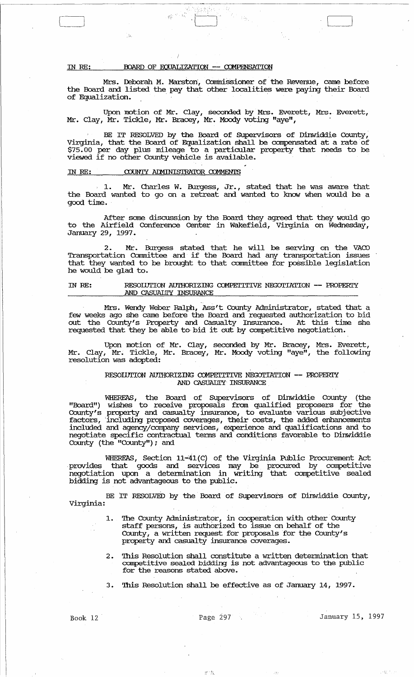$\overline{\phantom{0}}$ 

### IN RE: BOARD OF EQUALIZATION -- COMPENSATION

Mrs. Deborah M. Marston, Commissioner of the Revenue, came before the Board and listed the pay that other localities were paying their Board of Equalization.

Upon motion of Mr. Clay, seconded by Mrs. Everett, Mrs. Everett, Mr. Clay, Mr. Tickle, Mr. Bracey, Mr. Moody voting "aye", .

BE IT RESOLVED by the Board of SUpervisors of Dinwiddie County, Virginia, that the Board of Equalization shall be compensated at a rate of \$75.00 per day plus mileage to a particular property that needs to be viewed if no other County vehicle is available.

## IN RE: COUNTY ADMINISTRATOR COMMENTS

."

1. Mr. Charles W. Burgess, Jr., stated that he was aware that the Board wanted to go on a retreat and wanted to know when would be a good time.

After some discussion by the Board they agreed that they would go to the Airfield Conference Center in Wakefield, Virginia on Wednesday, January 29, 1997.

2. Mr. Burgess stated that he will be serving on the VACO Transportation Committee and if the Board had any transportation issues that they wanted to be brought to that committee for possible legislation he would be glad to.

IN RE: RESOLUTION AUIHORIZING COMPETITIVE NEGOTIATION -- PROPERTY AND CASUAIfI'Y INSURANCE

Mrs. Wendy Weber Ralph, Ass't County Administrator, stated that a few weeks ago she came before the Board and requested authorization to bid out the County's Property and casualty Insurance. At this time she out the county's Property and Casualty Insurance. At this time<br>requested that they be able to bid it out by competitive negotiation.

Upon motion of Mr. Clay, seconded by Mr. Bracey, Mrs. Everett, Mr. Clay, Mr. Tickle, Mr. Bracey, Mr. Moody voting "aye", the following resolution was adopted: .

## RESOIUTION AUTHORIZING COMPETITIVE NEGOTIATION -- PROPERTY AND CASUAIfI'Y INSURANCE

WHEREAS, the Board of supervisors of Dinwiddie County (the "Board") wishes to receive proposals from qualified proposers for the County's property and casualty insurance, to evaluate various subjective factors, 'including proposed coverages, their costs, the added enhancements included and agency/corrpany services, experience and qualifications and to negotiate specific contractual tenus and conditions favorable to Dinwiddie County (the "County"); and

WHEREAS, Section 11-41(C) of the Virginia Public Procurement Act provides that goods and services may be procured by competitive negotiation upon a determination in writing that competitive sealed bidding is not advantageous to the public.

BE IT RESOLVED by the Board of SUpervisors of Dinwiddie County, Virginia:

- 1. The County Administrator, in cooperation with other County staff persons, is authorized to issue on behalf of the County, a written request for proposals for the County's property and casualty insurance coverages. .
- This Resolution shall constitute a written determination that competitive sealed bidding is not advantageous to the public for the reasons stated above.

3. 'Ibis Resolution shall be effective as of January 14, 1997.

Book 12

of" :'J.

Page 297 January 15, 1997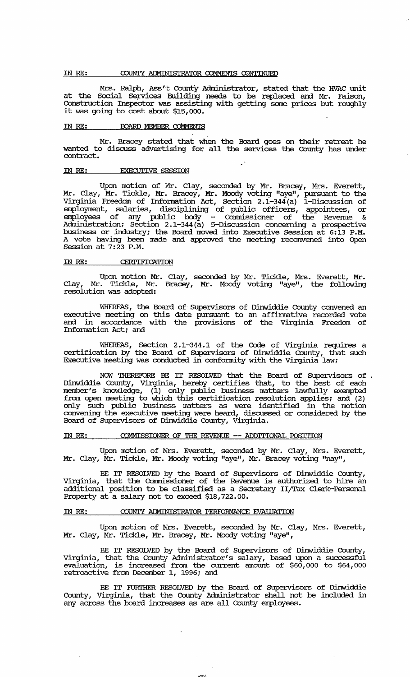### IN RE: COUNTY ADMINISTRATOR COMMENTS CONTINUED

Mrs. Ralph, Ass't CountY Administrator, stated that the HVAC unit at the Social Services Building needs to be replaced and Mr. Faison, Construction Inspector was assisting with getting some prices but roughly Unistruction inspector was assisting with<br>it was going to cost about \$15,000.<br>IN RE: ROARD MEMBER COMMENTS

Mr. Bracey stated that when the Board goes on their retreat he wanted to discuss advertising for all the services the County has under contract.

## IN RE: EXECUTIVE SESSION

Upon motion of Mr. Clay, seconded by Mr. Bracey, Mrs. Everett, Mr. Clay, Mr. Tickle, Mr. Bracey, Mr. Moody voting "aye", pursuant to the Virginia Freedom of Information Act, Section 2.1-344(a) 1-Discussion of employment, salaries, disciplining of public officers, appointees, or  $emplog$ ees of any public body - Commissioner of the Revenue & Administration; Section 2.1-344(a) 5-Discussion concerning a prospective business or industry; the Board moved into Executive session at 6:13 P.M. A vote having been made and approved the meeting reconvened into Open Session at 7:23 P.M.

## IN RE: CERTIFICATION

Upon motion Mr. Clay, seconded by Mr. Tickle, Mrs. Everett, Mr. Clay, Mr. Tickle, Mr. Bracey, Mr. Moody voting "aye", the following resolution was adopted:

WHEREAS, the Board of SUpervisors of Dinwiddie County convened an executive meeting on this date pursuant to an affirmative recorded vote and in accordance with the provisions of the Virginia Freedom of Information Act; and

WHEREAS, Section 2.1-344.1 of the Code of Virginia requires a certification by the Board of SUpervisors of Dinwiddie County, that such Executive meeting was conducted in confonnity with the Virginia law;

NOW 'lliEREFORE BE IT RESOLVED that the Board of SUpervisors of Dinwiddie County, Virginia, hereby certifies that, to the best of each member's knowledge, (1) only public business matters lawfully exempted from open meeting to which this certification resolution applies; and (2) only such public business matters as were identified in the motion convening the executive meeting were heard, discussed or considered by the Board of SUpervisors of Dinwiddie County, Virginia.

## IN RE: COMMISSIONER OF THE REVENUE -- ADDITIONAL POSITION

Upon motion of Mrs. Everett, seconded by Mr. Clay, Mrs. Everett, Mr. Clay, Mr. Tickle, Mr. Moody voting "aye", Mr. Bracey voting "nay",

BE IT RESOLVED by the Board of SUpervisors of Dinwiddie County, Virginia, that the Connnissioner of the Revenue is authorized to hire an additional position to be classified as a Secretary II/Tax Clerk-Personal Property at a salary not to exceed \$18,722.00.

## IN RE: COUNTY ADMINISTRATOR PERFORMANCE EVALUATION

Upon motion of Mrs. Everett, seconded by Mr. Clay, Mrs. Everett, Mr. Clay, Mr. Tickle, Mr. Bracey, Mr. Moody voting "aye",

BE IT RESOLVED by the Board of Supervisors of Dinwiddie County, Virginia, that the County Administrator's salary, based upon a successful evaluation, is increased from the current amount of \$60,000 to \$64,000 retroactive from December 1, 1996; and

BE IT FURITHER RESOLVED by the Board of Supervisors of Dinwiddie County, Virginia, that the County Administrator shall not be included in any across the board increases as are all County employees .

.n~,J,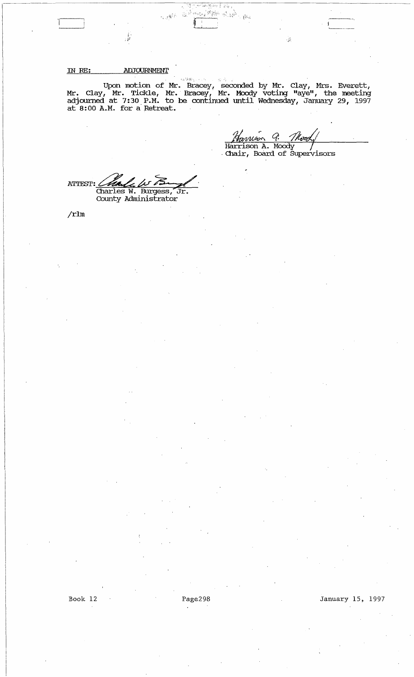#### IN RE: ADJOURNMENT

Upon motion of Mr. Bracey, seconded by Mr. Clay, Mrs. Everett,<br>Mr. Clay, Mr. Tickle, Mr. Bracey, Mr. Moody voting "aye", the meeting<br>adjourned at 7:30 P.M. to be continued until Wednesday, January 29, 1997<br>at 8:00 A.M. for

和音乐。 

G, Francon Harrison A. Moody

.<br>D

Chair, Board of Supervisors

ATTEST: 4 Charles W. Burgess, Jr.<br>County Administrator

 $/r$ lm

 $\overline{\phantom{a}}$ 

Page298